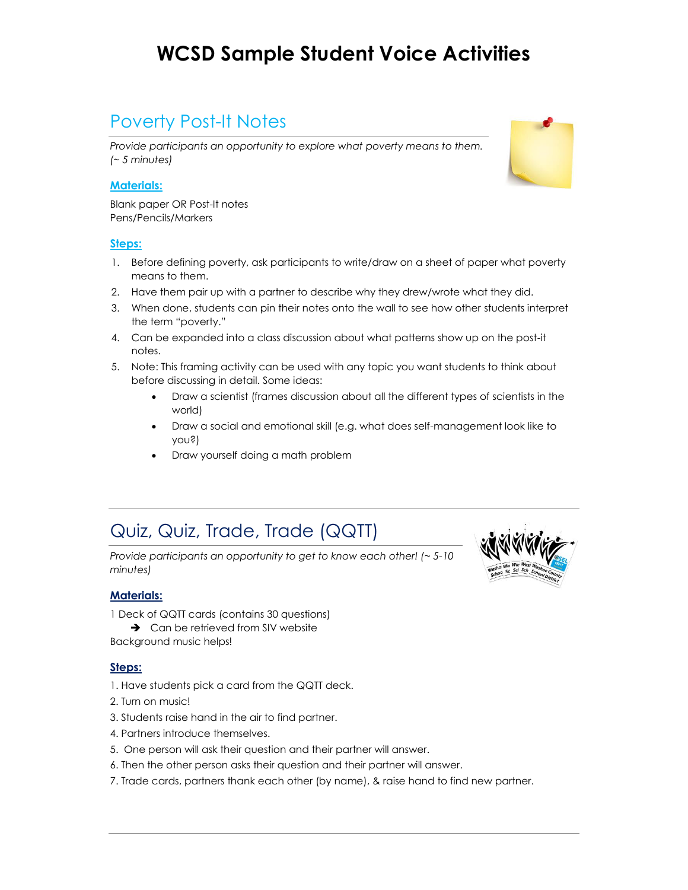### Poverty Post-It Notes

*Provide participants an opportunity to explore what poverty means to them. (~ 5 minutes)*

#### **Materials:**

Blank paper OR Post-It notes Pens/Pencils/Markers

#### **Steps:**

- 1. Before defining poverty, ask participants to write/draw on a sheet of paper what poverty means to them.
- 2. Have them pair up with a partner to describe why they drew/wrote what they did.
- 3. When done, students can pin their notes onto the wall to see how other students interpret the term "poverty."
- 4. Can be expanded into a class discussion about what patterns show up on the post-it notes.
- 5. Note: This framing activity can be used with any topic you want students to think about before discussing in detail. Some ideas:
	- Draw a scientist (frames discussion about all the different types of scientists in the world)
	- Draw a social and emotional skill (e.g. what does self-management look like to you?)
	- Draw yourself doing a math problem

### Quiz, Quiz, Trade, Trade (QQTT)

*Provide participants an opportunity to get to know each other! (~ 5-10 minutes)*

#### **Materials:**

1 Deck of QQTT cards (contains 30 questions)  $\rightarrow$  Can be retrieved from SIV website

Background music helps!

- 1. Have students pick a card from the QQTT deck.
- 2. Turn on music!
- 3. Students raise hand in the air to find partner.
- 4. Partners introduce themselves.
- 5. One person will ask their question and their partner will answer.
- 6. Then the other person asks their question and their partner will answer.
- 7. Trade cards, partners thank each other (by name), & raise hand to find new partner.



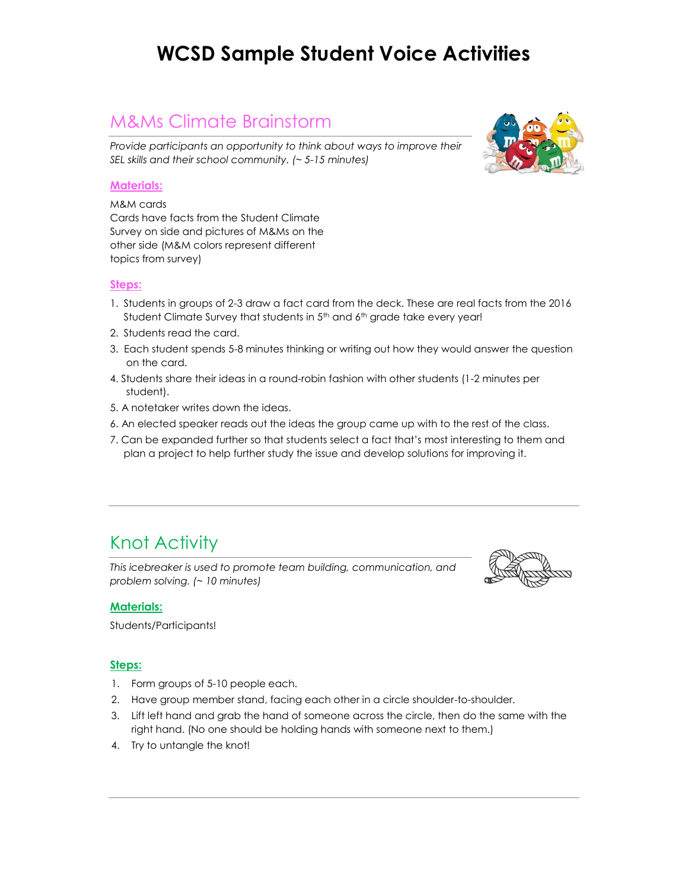### M&Ms Climate Brainstorm

*Provide participants an opportunity to think about ways to improve their SEL skills and their school community. (~ 5-15 minutes)*



M&M cards Cards have facts from the Student Climate Survey on side and pictures of M&Ms on the other side (M&M colors represent different topics from survey)

#### **Steps:**

- 1. Students in groups of 2-3 draw a fact card from the deck. These are real facts from the 2016 Student Climate Survey that students in 5<sup>th</sup> and 6<sup>th</sup> grade take every year!
- 2. Students read the card.
- 3. Each student spends 5-8 minutes thinking or writing out how they would answer the question on the card.
- 4. Students share their ideas in a round-robin fashion with other students (1-2 minutes per student).
- 5. A notetaker writes down the ideas.
- 6. An elected speaker reads out the ideas the group came up with to the rest of the class.
- 7. Can be expanded further so that students select a fact that's most interesting to them and plan a project to help further study the issue and develop solutions for improving it.

### Knot Activity

*This icebreaker is used to promote team building, communication, and problem solving. (~ 10 minutes)*



#### **Materials:**

Students/Participants!

- 1. Form groups of 5-10 people each.
- 2. Have group member stand, facing each other in a circle shoulder-to-shoulder.
- 3. Lift left hand and grab the hand of someone across the circle, then do the same with the right hand. (No one should be holding hands with someone next to them.)
- 4. Try to untangle the knot!

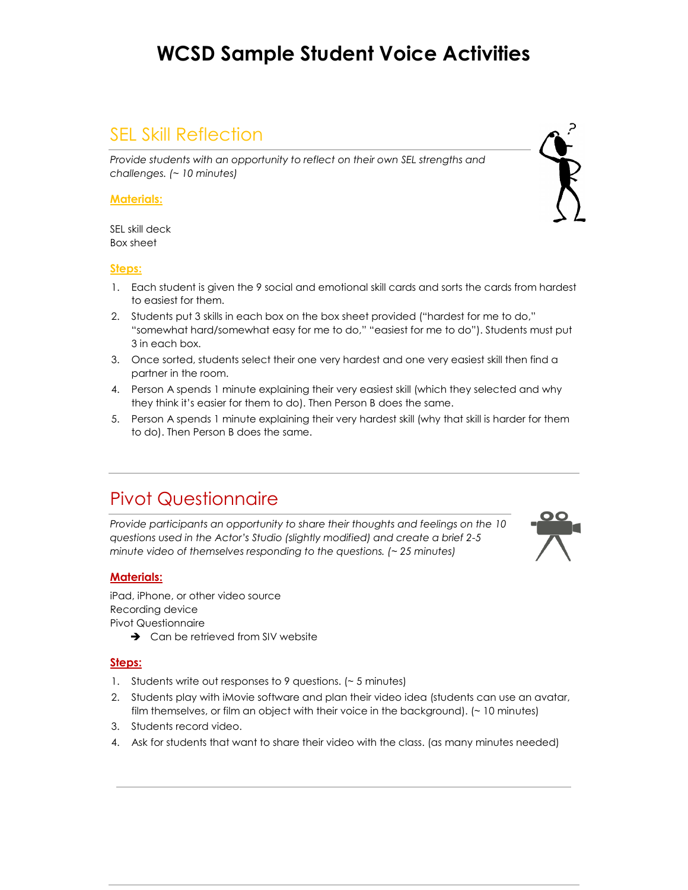### SEL Skill Reflection

*Provide students with an opportunity to reflect on their own SEL strengths and challenges. (~ 10 minutes)*

#### **Materials:**

SEL skill deck Box sheet

#### **Steps:**

- 1. Each student is given the 9 social and emotional skill cards and sorts the cards from hardest to easiest for them.
- 2. Students put 3 skills in each box on the box sheet provided ("hardest for me to do," "somewhat hard/somewhat easy for me to do," "easiest for me to do"). Students must put 3 in each box.
- 3. Once sorted, students select their one very hardest and one very easiest skill then find a partner in the room.
- 4. Person A spends 1 minute explaining their very easiest skill (which they selected and why they think it's easier for them to do). Then Person B does the same.
- 5. Person A spends 1 minute explaining their very hardest skill (why that skill is harder for them to do). Then Person B does the same.

### Pivot Questionnaire

*Provide participants an opportunity to share their thoughts and feelings on the 10 questions used in the Actor's Studio (slightly modified) and create a brief 2-5 minute video of themselves responding to the questions. (~ 25 minutes)*

#### **Materials:**

iPad, iPhone, or other video source Recording device Pivot Questionnaire

 $\rightarrow$  Can be retrieved from SIV website

- 1. Students write out responses to 9 questions. (~ 5 minutes)
- 2. Students play with iMovie software and plan their video idea (students can use an avatar, film themselves, or film an object with their voice in the background). (~ 10 minutes)
- 3. Students record video.
- 4. Ask for students that want to share their video with the class. (as many minutes needed)



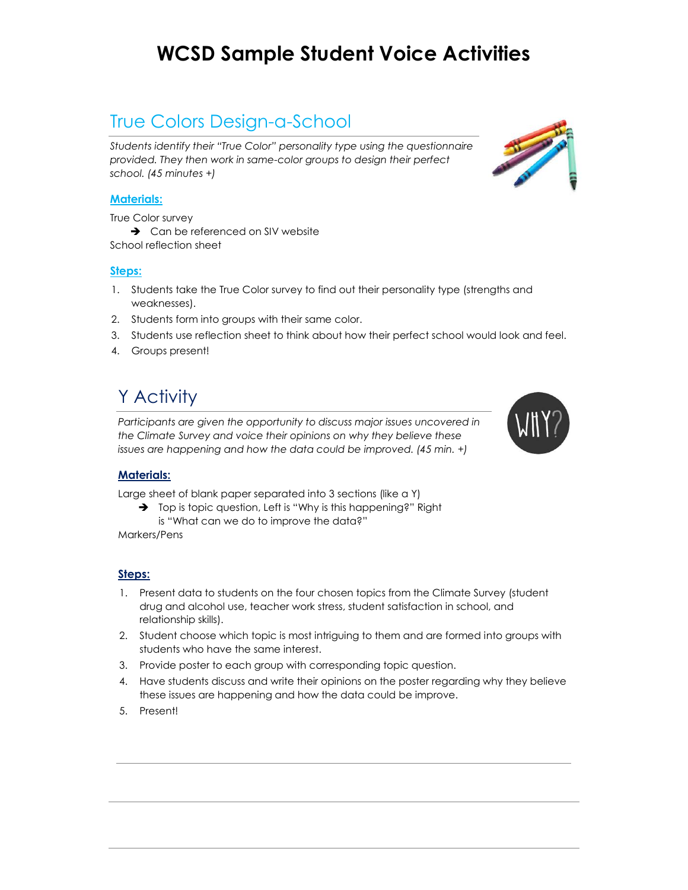### True Colors Design-a-School

*Students identify their "True Color" personality type using the questionnaire provided. They then work in same-color groups to design their perfect school. (45 minutes +)*

#### **Materials:**

True Color survey

 $\rightarrow$  Can be referenced on SIV website School reflection sheet

#### **Steps:**

- 1. Students take the True Color survey to find out their personality type (strengths and weaknesses).
- 2. Students form into groups with their same color.
- 3. Students use reflection sheet to think about how their perfect school would look and feel.
- 4. Groups present!

# Y Activity

*Participants are given the opportunity to discuss major issues uncovered in the Climate Survey and voice their opinions on why they believe these issues are happening and how the data could be improved. (45 min. +)*

#### **Materials:**

Large sheet of blank paper separated into 3 sections (like a Y)

→ Top is topic question, Left is "Why is this happening?" Right is "What can we do to improve the data?"

Markers/Pens

- 1. Present data to students on the four chosen topics from the Climate Survey (student drug and alcohol use, teacher work stress, student satisfaction in school, and relationship skills).
- 2. Student choose which topic is most intriguing to them and are formed into groups with students who have the same interest.
- 3. Provide poster to each group with corresponding topic question.
- 4. Have students discuss and write their opinions on the poster regarding why they believe these issues are happening and how the data could be improve.
- 5. Present!